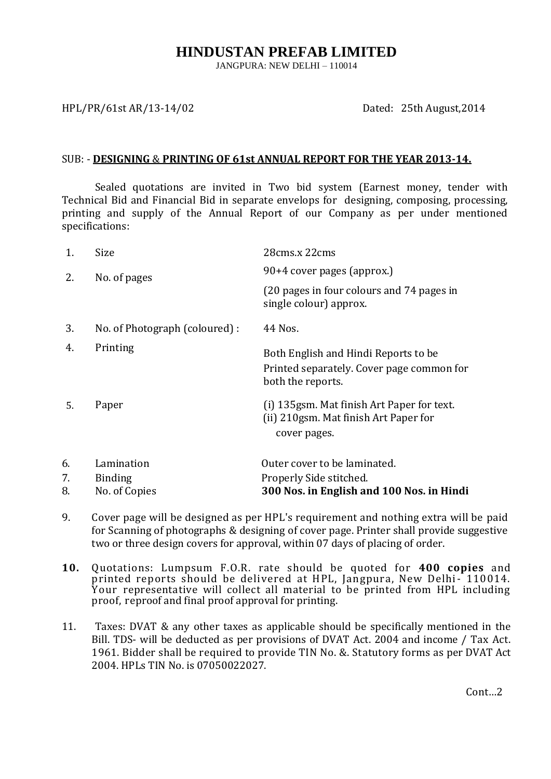# **HINDUSTAN PREFAB LIMITED**

JANGPURA: NEW DELHI – 110014

### HPL/PR/61st AR/13-14/02 Dated: 25th August,2014

#### SUB: - **DESIGNING** & **PRINTING OF 61st ANNUAL REPORT FOR THE YEAR 2013-14.**

Sealed quotations are invited in Two bid system (Earnest money, tender with Technical Bid and Financial Bid in separate envelops for designing, composing, processing, printing and supply of the Annual Report of our Company as per under mentioned specifications:

| 1. | Size                           | 28cms.x 22cms                                                                                          |
|----|--------------------------------|--------------------------------------------------------------------------------------------------------|
| 2. | No. of pages                   | 90+4 cover pages (approx.)                                                                             |
|    |                                | (20 pages in four colours and 74 pages in<br>single colour) approx.                                    |
| 3. | No. of Photograph (coloured) : | 44 Nos.                                                                                                |
| 4. | Printing                       | Both English and Hindi Reports to be<br>Printed separately. Cover page common for<br>both the reports. |
| 5. | Paper                          | (i) 135 gsm. Mat finish Art Paper for text.<br>(ii) 210gsm. Mat finish Art Paper for<br>cover pages.   |
| 6. | Lamination                     | Outer cover to be laminated.                                                                           |
| 7. | <b>Binding</b>                 | Properly Side stitched.                                                                                |
| 8. | No. of Copies                  | 300 Nos. in English and 100 Nos. in Hindi                                                              |

- 9. Cover page will be designed as per HPL's requirement and nothing extra will be paid for Scanning of photographs & designing of cover page. Printer shall provide suggestive two or three design covers for approval, within 07 days of placing of order.
- **10.** Quotations: Lumpsum F.O.R. rate should be quoted for **400 copies** and printed reports should be delivered at HPL, Jangpura, New Delhi- 110014. Your representative will collect all material to be printed from HPL including proof, reproof and final proof approval for printing.
- 11. Taxes: DVAT & any other taxes as applicable should be specifically mentioned in the Bill. TDS- will be deducted as per provisions of DVAT Act. 2004 and income / Tax Act. 1961. Bidder shall be required to provide TIN No. &. Statutory forms as per DVAT Act 2004. HPLs TIN No. is 07050022027.

Cont…2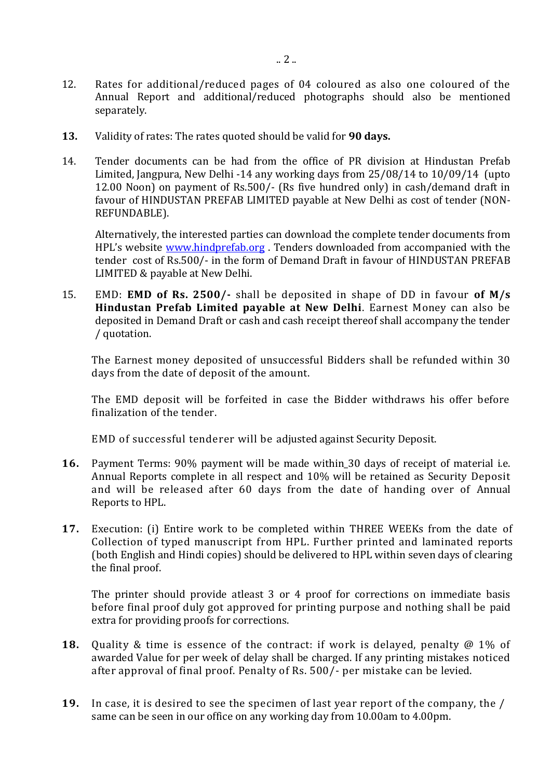- 12. Rates for additional/reduced pages of 04 coloured as also one coloured of the Annual Report and additional/reduced photographs should also be mentioned separately.
- **13.** Validity of rates: The rates quoted should be valid for **90 days.**
- 14. Tender documents can be had from the office of PR division at Hindustan Prefab Limited, Jangpura, New Delhi -14 any working days from 25/08/14 to 10/09/14 (upto 12.00 Noon) on payment of Rs.500/- (Rs five hundred only) in cash/demand draft in favour of HINDUSTAN PREFAB LIMITED payable at New Delhi as cost of tender (NON-REFUNDABLE).

Alternatively, the interested parties can download the complete tender documents from HPL's website [www.hindprefab.org](http://www.hindprefab.org/). Tenders downloaded from accompanied with the tender cost of Rs.500/- in the form of Demand Draft in favour of HINDUSTAN PREFAB LIMITED & payable at New Delhi.

15. EMD: **EMD of Rs. 2500/-** shall be deposited in shape of DD in favour **of M/s Hindustan Prefab Limited payable at New Delhi**. Earnest Money can also be deposited in Demand Draft or cash and cash receipt thereof shall accompany the tender / quotation.

The Earnest money deposited of unsuccessful Bidders shall be refunded within 30 days from the date of deposit of the amount.

The EMD deposit will be forfeited in case the Bidder withdraws his offer before finalization of the tender.

EMD of successful tenderer will be adjusted against Security Deposit.

- **16.** Payment Terms: 90% payment will be made within\_30 days of receipt of material i.e. Annual Reports complete in all respect and 10% will be retained as Security Deposit and will be released after 60 days from the date of handing over of Annual Reports to HPL.
- **17.** Execution: (i) Entire work to be completed within THREE WEEKs from the date of Collection of typed manuscript from HPL. Further printed and laminated reports (both English and Hindi copies) should be delivered to HPL within seven days of clearing the final proof.

The printer should provide atleast 3 or 4 proof for corrections on immediate basis before final proof duly got approved for printing purpose and nothing shall be paid extra for providing proofs for corrections.

- **18.** Quality & time is essence of the contract: if work is delayed, penalty @ 1% of awarded Value for per week of delay shall be charged. If any printing mistakes noticed after approval of final proof. Penalty of Rs. 500/- per mistake can be levied.
- **19.** In case, it is desired to see the specimen of last year report of the company, the / same can be seen in our office on any working day from 10.00am to 4.00pm.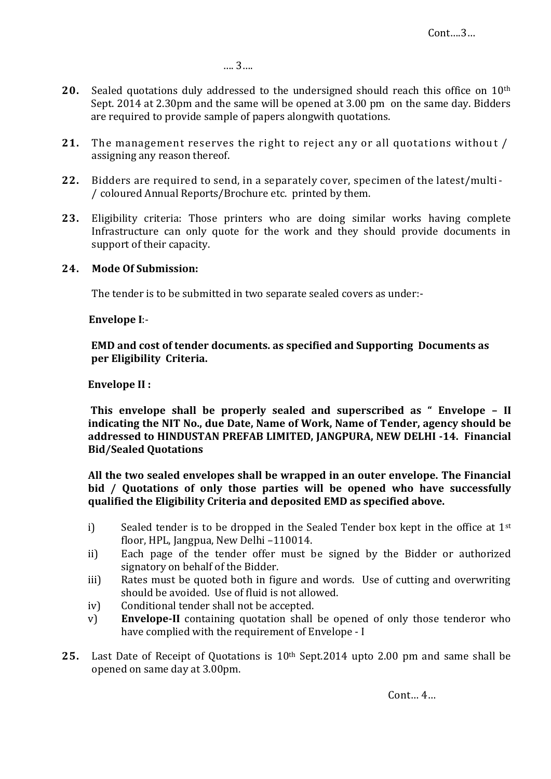…. 3….

- **20.** Sealed quotations duly addressed to the undersigned should reach this office on 10th Sept. 2014 at 2.30pm and the same will be opened at 3.00 pm on the same day. Bidders are required to provide sample of papers alongwith quotations.
- **21.** The management reserves the right to reject any or all quotations without / assigning any reason thereof.
- **22.** Bidders are required to send, in a separately cover, specimen of the latest/multi- / coloured Annual Reports/Brochure etc. printed by them.
- **23.** Eligibility criteria: Those printers who are doing similar works having complete Infrastructure can only quote for the work and they should provide documents in support of their capacity.

## **24. Mode Of Submission:**

The tender is to be submitted in two separate sealed covers as under:-

#### **Envelope I**:-

 **EMD and cost of tender documents. as specified and Supporting Documents as per Eligibility Criteria.**

### **Envelope II :**

**This envelope shall be properly sealed and superscribed as " Envelope – II indicating the NIT No., due Date, Name of Work, Name of Tender, agency should be addressed to HINDUSTAN PREFAB LIMITED, JANGPURA, NEW DELHI -14. Financial Bid/Sealed Quotations**

**All the two sealed envelopes shall be wrapped in an outer envelope. The Financial bid / Quotations of only those parties will be opened who have successfully qualified the Eligibility Criteria and deposited EMD as specified above.**

- i) Sealed tender is to be dropped in the Sealed Tender box kept in the office at 1st floor, HPL, Jangpua, New Delhi –110014.
- ii) Each page of the tender offer must be signed by the Bidder or authorized signatory on behalf of the Bidder.
- iii) Rates must be quoted both in figure and words. Use of cutting and overwriting should be avoided. Use of fluid is not allowed.
- iv) Conditional tender shall not be accepted.
- v) **Envelope-II** containing quotation shall be opened of only those tenderor who have complied with the requirement of Envelope - I
- **25.** Last Date of Receipt of Quotations is 10th Sept.2014 upto 2.00 pm and same shall be opened on same day at 3.00pm.